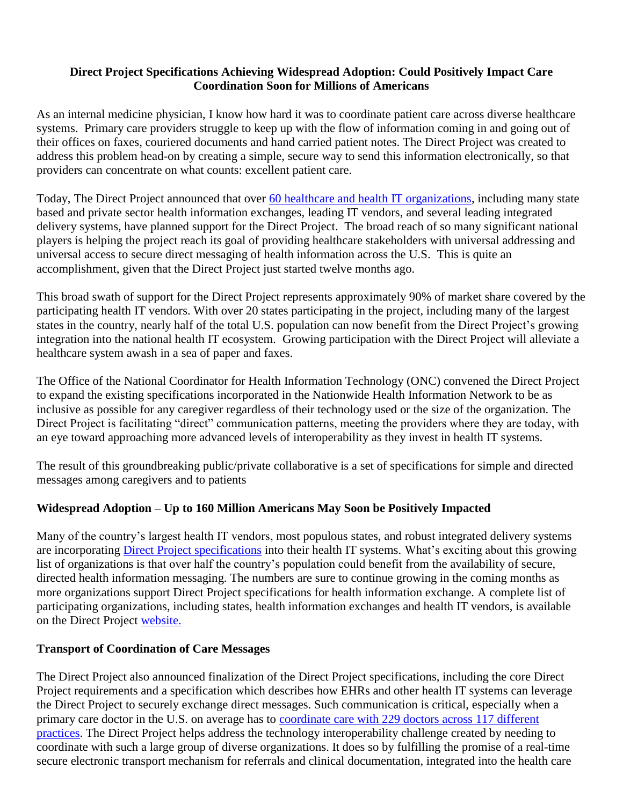## **Direct Project Specifications Achieving Widespread Adoption: Could Positively Impact Care Coordination Soon for Millions of Americans**

As an internal medicine physician, I know how hard it was to coordinate patient care across diverse healthcare systems. Primary care providers struggle to keep up with the flow of information coming in and going out of their offices on faxes, couriered documents and hand carried patient notes. The Direct Project was created to address this problem head-on by creating a simple, secure way to send this information electronically, so that providers can concentrate on what counts: excellent patient care.

Today, The Direct Project announced that over [60 healthcare and health IT organizations,](http://directproject.org/content.php?key=overview&sub=vendorsupport) including many state based and private sector health information exchanges, leading IT vendors, and several leading integrated delivery systems, have planned support for the Direct Project. The broad reach of so many significant national players is helping the project reach its goal of providing healthcare stakeholders with universal addressing and universal access to secure direct messaging of health information across the U.S. This is quite an accomplishment, given that the Direct Project just started twelve months ago.

This broad swath of support for the Direct Project represents approximately 90% of market share covered by the participating health IT vendors. With over 20 states participating in the project, including many of the largest states in the country, nearly half of the total U.S. population can now benefit from the Direct Project's growing integration into the national health IT ecosystem. Growing participation with the Direct Project will alleviate a healthcare system awash in a sea of paper and faxes.

The Office of the National Coordinator for Health Information Technology (ONC) convened the Direct Project to expand the existing specifications incorporated in the Nationwide Health Information Network to be as inclusive as possible for any caregiver regardless of their technology used or the size of the organization. The Direct Project is facilitating "direct" communication patterns, meeting the providers where they are today, with an eye toward approaching more advanced levels of interoperability as they invest in health IT systems.

The result of this groundbreaking public/private collaborative is a set of specifications for simple and directed messages among caregivers and to patients

## **Widespread Adoption – Up to 160 Million Americans May Soon be Positively Impacted**

Many of the country's largest health IT vendors, most populous states, and robust integrated delivery systems are incorporating [Direct Project specifications](http://wiki.directproject.org/specifications+and+service+descriptions) into their health IT systems. What's exciting about this growing list of organizations is that over half the country's population could benefit from the availability of secure, directed health information messaging. The numbers are sure to continue growing in the coming months as more organizations support Direct Project specifications for health information exchange. A complete list of participating organizations, including states, health information exchanges and health IT vendors, is available on the Direct Project [website.](http://directproject.org/) 

## **Transport of Coordination of Care Messages**

The Direct Project also announced finalization of the Direct Project specifications, including the core Direct Project requirements and a specification which describes how EHRs and other health IT systems can leverage the Direct Project to securely exchange direct messages. Such communication is critical, especially when a primary care doctor in the U.S. on average has to [coordinate care with 229 doctors across 117 different](http://www.annals.org/content/150/4/236.abstract)  [practices.](http://www.annals.org/content/150/4/236.abstract) The Direct Project helps address the technology interoperability challenge created by needing to coordinate with such a large group of diverse organizations. It does so by fulfilling the promise of a real-time secure electronic transport mechanism for referrals and clinical documentation, integrated into the health care